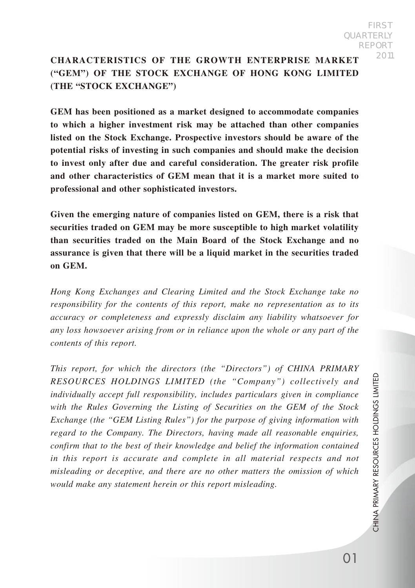# **CHARACTERISTICS OF THE GROWTH ENTERPRISE MARKET ("GEM") OF THE STOCK EXCHANGE OF HONG KONG LIMITED (THE "STOCK EXCHANGE")**

**GEM has been positioned as a market designed to accommodate companies to which a higher investment risk may be attached than other companies listed on the Stock Exchange. Prospective investors should be aware of the potential risks of investing in such companies and should make the decision to invest only after due and careful consideration. The greater risk profile and other characteristics of GEM mean that it is a market more suited to professional and other sophisticated investors.**

**Given the emerging nature of companies listed on GEM, there is a risk that securities traded on GEM may be more susceptible to high market volatility than securities traded on the Main Board of the Stock Exchange and no assurance is given that there will be a liquid market in the securities traded on GEM.**

*Hong Kong Exchanges and Clearing Limited and the Stock Exchange take no responsibility for the contents of this report, make no representation as to its accuracy or completeness and expressly disclaim any liability whatsoever for any loss howsoever arising from or in reliance upon the whole or any part of the contents of this report.*

*This report, for which the directors (the "Directors") of CHINA PRIMARY RESOURCES HOLDINGS LIMITED (the "Company") collectively and individually accept full responsibility, includes particulars given in compliance with the Rules Governing the Listing of Securities on the GEM of the Stock Exchange (the "GEM Listing Rules") for the purpose of giving information with regard to the Company. The Directors, having made all reasonable enquiries, confirm that to the best of their knowledge and belief the information contained*  in this report is accurate and complete in all material respects and not *misleading or deceptive, and there are no other matters the omission of which would make any statement herein or this report misleading.*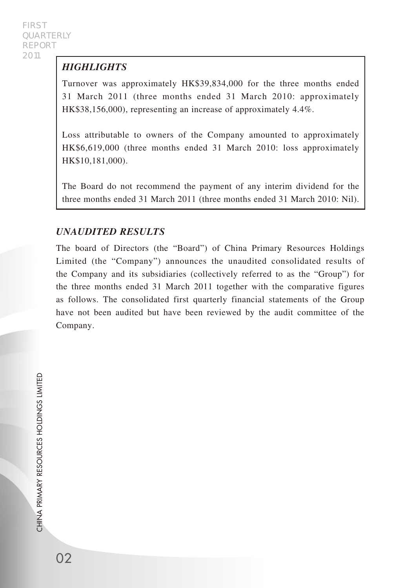# *HIGHLIGHTS*

Turnover was approximately HK\$39,834,000 for the three months ended 31 March 2011 (three months ended 31 March 2010: approximately HK\$38,156,000), representing an increase of approximately 4.4%.

Loss attributable to owners of the Company amounted to approximately HK\$6,619,000 (three months ended 31 March 2010: loss approximately HK\$10,181,000).

The Board do not recommend the payment of any interim dividend for the three months ended 31 March 2011 (three months ended 31 March 2010: Nil).

## *UNAUDITED RESULTS*

The board of Directors (the "Board") of China Primary Resources Holdings Limited (the "Company") announces the unaudited consolidated results of the Company and its subsidiaries (collectively referred to as the "Group") for the three months ended 31 March 2011 together with the comparative figures as follows. The consolidated first quarterly financial statements of the Group have not been audited but have been reviewed by the audit committee of the Company.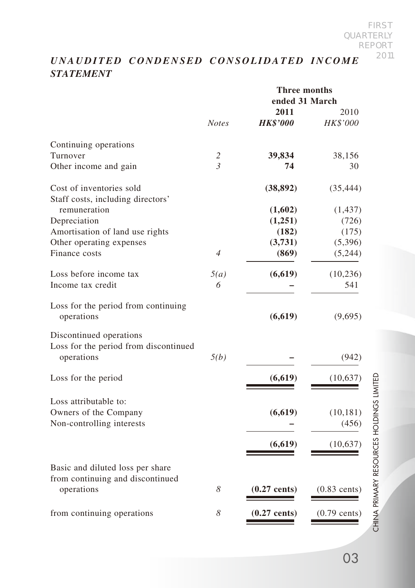# *UNAUDITED CONDENSED CONSOLIDATED INCOME STATEMENT*

|                                                                                |                | <b>Three months</b><br>ended 31 March |                    |
|--------------------------------------------------------------------------------|----------------|---------------------------------------|--------------------|
|                                                                                | <b>Notes</b>   | 2011<br><b>HK\$'000</b>               | 2010<br>HK\$'000   |
| Continuing operations                                                          |                |                                       |                    |
| Turnover                                                                       | $\overline{2}$ | 39,834                                | 38,156             |
| Other income and gain                                                          | $\mathfrak{Z}$ | 74                                    | 30                 |
| Cost of inventories sold<br>Staff costs, including directors'                  |                | (38, 892)                             | (35, 444)          |
| remuneration                                                                   |                | (1,602)                               | (1, 437)           |
| Depreciation                                                                   |                | (1,251)                               | (726)              |
| Amortisation of land use rights                                                |                | (182)                                 | (175)              |
| Other operating expenses                                                       |                | (3,731)                               | (5,396)            |
| Finance costs                                                                  | $\overline{4}$ | (869)                                 | (5,244)            |
| Loss before income tax                                                         | 5(a)           | (6,619)                               | (10, 236)          |
| Income tax credit                                                              | 6              |                                       | 541                |
| Loss for the period from continuing<br>operations                              |                | (6,619)                               | (9,695)            |
| Discontinued operations<br>Loss for the period from discontinued<br>operations | 5(b)           |                                       | (942)              |
| Loss for the period                                                            |                | (6,619)                               | (10,637)           |
| Loss attributable to:<br>Owners of the Company<br>Non-controlling interests    |                | (6,619)                               | (10, 181)<br>(456) |
|                                                                                |                | (6,619)                               | (10,637)           |
| Basic and diluted loss per share<br>from continuing and discontinued           |                |                                       |                    |
| operations                                                                     | 8              | $(0.27$ cents)                        | $(0.83$ cents)     |
| from continuing operations                                                     | 8              | $(0.27$ cents)                        | $(0.79$ cents)     |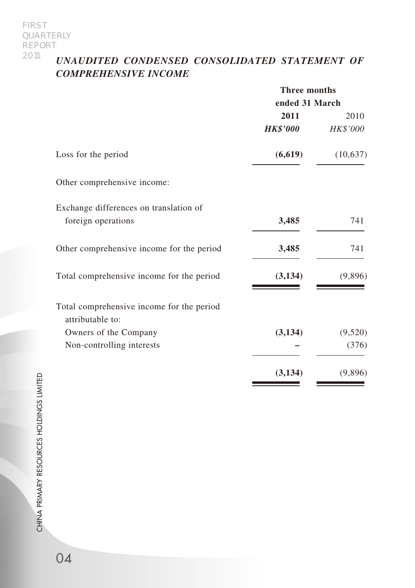# *UNAUDITED CONDENSED CONSOLIDATED STATEMENT OF COMPREHENSIVE INCOME*

|                                           | <b>Three months</b> |          |
|-------------------------------------------|---------------------|----------|
|                                           | ended 31 March      |          |
|                                           | 2011                | 2010     |
|                                           | <b>HK\$'000</b>     | HK\$'000 |
| Loss for the period                       | (6,619)             | (10,637) |
| Other comprehensive income:               |                     |          |
| Exchange differences on translation of    |                     |          |
| foreign operations                        | 3,485               | 741      |
| Other comprehensive income for the period | 3,485               | 741      |
| Total comprehensive income for the period | (3,134)             | (9,896)  |
| Total comprehensive income for the period |                     |          |
| attributable to:                          |                     |          |
| Owners of the Company                     | (3,134)             | (9,520)  |
| Non-controlling interests                 |                     | (376)    |
|                                           | (3, 134)            | (9,896)  |

CHINA PRIMARY RESOURCES HOLDINGS LIMITED CHINA PRIMARY RESOURCES HOLDINGS LIMITED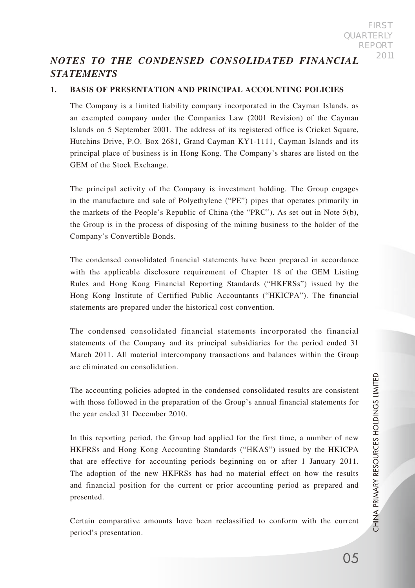# *NOTES TO THE CONDENSED CONSOLIDATED FINANCIAL STATEMENTS*

### **1. BASIS OF PRESENTATION AND PRINCIPAL ACCOUNTING POLICIES**

The Company is a limited liability company incorporated in the Cayman Islands, as an exempted company under the Companies Law (2001 Revision) of the Cayman Islands on 5 September 2001. The address of its registered office is Cricket Square, Hutchins Drive, P.O. Box 2681, Grand Cayman KY1-1111, Cayman Islands and its principal place of business is in Hong Kong. The Company's shares are listed on the GEM of the Stock Exchange.

The principal activity of the Company is investment holding. The Group engages in the manufacture and sale of Polyethylene ("PE") pipes that operates primarily in the markets of the People's Republic of China (the "PRC"). As set out in Note 5(b), the Group is in the process of disposing of the mining business to the holder of the Company's Convertible Bonds.

The condensed consolidated financial statements have been prepared in accordance with the applicable disclosure requirement of Chapter 18 of the GEM Listing Rules and Hong Kong Financial Reporting Standards ("HKFRSs") issued by the Hong Kong Institute of Certified Public Accountants ("HKICPA"). The financial statements are prepared under the historical cost convention.

The condensed consolidated financial statements incorporated the financial statements of the Company and its principal subsidiaries for the period ended 31 March 2011. All material intercompany transactions and balances within the Group are eliminated on consolidation.

The accounting policies adopted in the condensed consolidated results are consistent with those followed in the preparation of the Group's annual financial statements for the year ended 31 December 2010.

In this reporting period, the Group had applied for the first time, a number of new HKFRSs and Hong Kong Accounting Standards ("HKAS") issued by the HKICPA that are effective for accounting periods beginning on or after 1 January 2011. The adoption of the new HKFRSs has had no material effect on how the results and financial position for the current or prior accounting period as prepared and presented.

Certain comparative amounts have been reclassified to conform with the current period's presentation.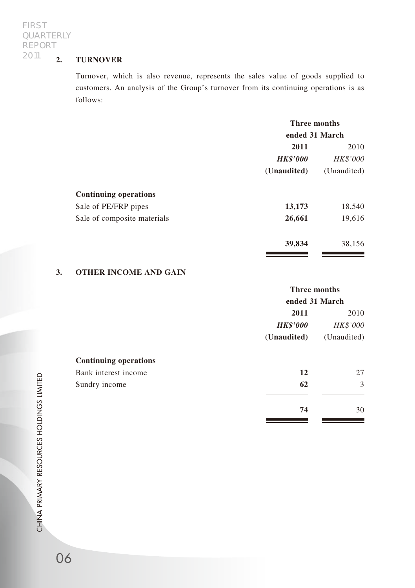## **2. TURNOVER**

Turnover, which is also revenue, represents the sales value of goods supplied to customers. An analysis of the Group's turnover from its continuing operations is as follows:

|                              | <b>Three months</b> |             |
|------------------------------|---------------------|-------------|
|                              | ended 31 March      |             |
|                              | 2011                | 2010        |
|                              | <b>HK\$'000</b>     | HK\$'000    |
|                              | (Unaudited)         | (Unaudited) |
| <b>Continuing operations</b> |                     |             |
| Sale of PE/FRP pipes         | 13,173              | 18,540      |
| Sale of composite materials  | 26,661              | 19,616      |
|                              | 39,834              | 38,156      |

### **3. OTHER INCOME AND GAIN**

| Three months    |             |
|-----------------|-------------|
| ended 31 March  |             |
| 2011            | 2010        |
| <b>HK\$'000</b> | HK\$'000    |
| (Unaudited)     | (Unaudited) |
|                 |             |
| 12              | 27          |
| 62              | 3           |
| 74              | 30          |
|                 |             |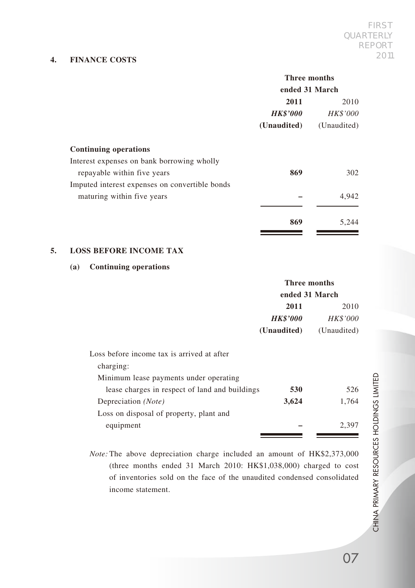### **4. FINANCE COSTS**

#### **Three months ended 31 March**

|                                                | енаеа эт маген  |             |
|------------------------------------------------|-----------------|-------------|
|                                                | 2011            | 2010        |
|                                                | <b>HK\$'000</b> | HK\$'000    |
|                                                | (Unaudited)     | (Unaudited) |
| <b>Continuing operations</b>                   |                 |             |
| Interest expenses on bank borrowing wholly     |                 |             |
| repayable within five years                    | 869             | 302         |
| Imputed interest expenses on convertible bonds |                 |             |
| maturing within five years                     |                 | 4.942       |
|                                                |                 |             |
|                                                | 869             | 5,244       |
|                                                |                 |             |

## **5. LOSS BEFORE INCOME TAX**

### **(a) Continuing operations**

| ended 31 March  |  |
|-----------------|--|
| 2010            |  |
| <b>HK\$'000</b> |  |
| (Unaudited)     |  |
|                 |  |
|                 |  |
|                 |  |
| 526             |  |
| 1.764           |  |
|                 |  |
| 2.397           |  |
|                 |  |

*Note:* The above depreciation charge included an amount of HK\$2,373,000 (three months ended 31 March 2010: HK\$1,038,000) charged to cost of inventories sold on the face of the unaudited condensed consolidated income statement.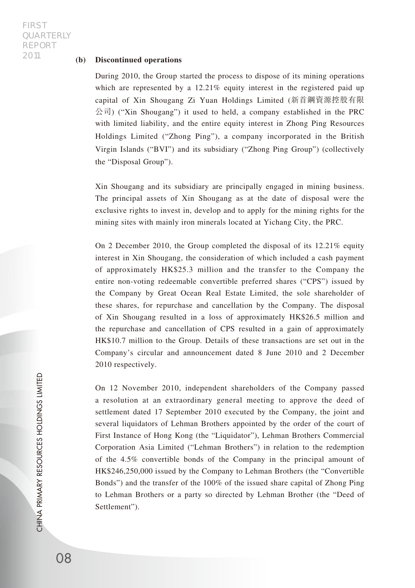#### **(b) Discontinued operations**

During 2010, the Group started the process to dispose of its mining operations which are represented by a 12.21% equity interest in the registered paid up capital of Xin Shougang Zi Yuan Holdings Limited (新首鋼資源控股有限  $\langle \hat{\triangle} \vec{\pi} \rangle$  ("Xin Shougang") it used to held, a company established in the PRC with limited liability, and the entire equity interest in Zhong Ping Resources Holdings Limited ("Zhong Ping"), a company incorporated in the British Virgin Islands ("BVI") and its subsidiary ("Zhong Ping Group") (collectively the "Disposal Group").

Xin Shougang and its subsidiary are principally engaged in mining business. The principal assets of Xin Shougang as at the date of disposal were the exclusive rights to invest in, develop and to apply for the mining rights for the mining sites with mainly iron minerals located at Yichang City, the PRC.

On 2 December 2010, the Group completed the disposal of its 12.21% equity interest in Xin Shougang, the consideration of which included a cash payment of approximately HK\$25.3 million and the transfer to the Company the entire non-voting redeemable convertible preferred shares ("CPS") issued by the Company by Great Ocean Real Estate Limited, the sole shareholder of these shares, for repurchase and cancellation by the Company. The disposal of Xin Shougang resulted in a loss of approximately HK\$26.5 million and the repurchase and cancellation of CPS resulted in a gain of approximately HK\$10.7 million to the Group. Details of these transactions are set out in the Company's circular and announcement dated 8 June 2010 and 2 December 2010 respectively.

On 12 November 2010, independent shareholders of the Company passed a resolution at an extraordinary general meeting to approve the deed of settlement dated 17 September 2010 executed by the Company, the joint and several liquidators of Lehman Brothers appointed by the order of the court of First Instance of Hong Kong (the "Liquidator"), Lehman Brothers Commercial Corporation Asia Limited ("Lehman Brothers") in relation to the redemption of the 4.5% convertible bonds of the Company in the principal amount of HK\$246,250,000 issued by the Company to Lehman Brothers (the "Convertible Bonds") and the transfer of the 100% of the issued share capital of Zhong Ping to Lehman Brothers or a party so directed by Lehman Brother (the "Deed of Settlement").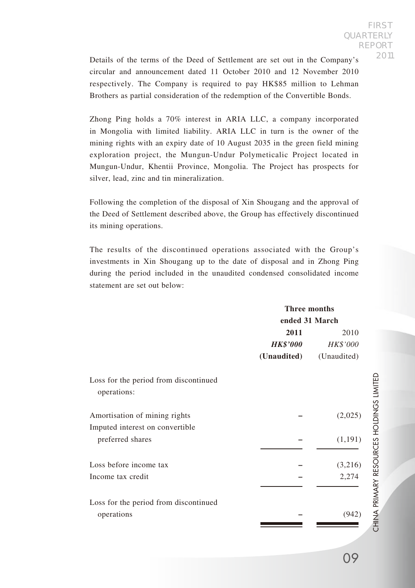Details of the terms of the Deed of Settlement are set out in the Company's circular and announcement dated 11 October 2010 and 12 November 2010 respectively. The Company is required to pay HK\$85 million to Lehman Brothers as partial consideration of the redemption of the Convertible Bonds.

Zhong Ping holds a 70% interest in ARIA LLC, a company incorporated in Mongolia with limited liability. ARIA LLC in turn is the owner of the mining rights with an expiry date of 10 August 2035 in the green field mining exploration project, the Mungun-Undur Polymeticalic Project located in Mungun-Undur, Khentii Province, Mongolia. The Project has prospects for silver, lead, zinc and tin mineralization.

Following the completion of the disposal of Xin Shougang and the approval of the Deed of Settlement described above, the Group has effectively discontinued its mining operations.

The results of the discontinued operations associated with the Group's investments in Xin Shougang up to the date of disposal and in Zhong Ping during the period included in the unaudited condensed consolidated income statement are set out below:

## **Three months**

| ended 31 March |      |
|----------------|------|
| 2011           | 2010 |

|                                                                  | 40 L L          | 2010        |
|------------------------------------------------------------------|-----------------|-------------|
|                                                                  | <b>HK\$'000</b> | HK\$'000    |
|                                                                  | (Unaudited)     | (Unaudited) |
| Loss for the period from discontinued<br>operations:             |                 |             |
| Amortisation of mining rights<br>Imputed interest on convertible |                 | (2,025)     |
| preferred shares                                                 |                 | (1,191)     |
| Loss before income tax                                           |                 | (3,216)     |
| Income tax credit                                                |                 | 2,274       |
| Loss for the period from discontinued                            |                 |             |
| operations                                                       |                 | (942)       |
|                                                                  |                 |             |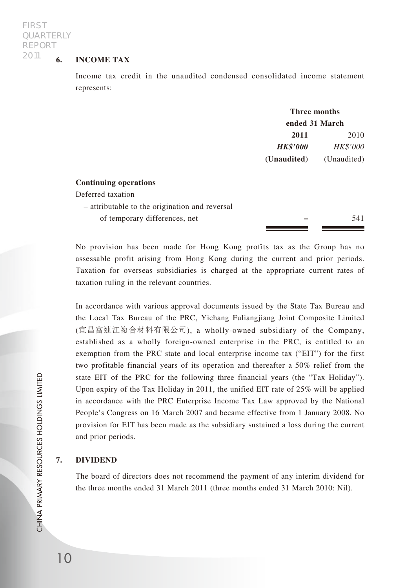## **6. INCOME TAX**

Income tax credit in the unaudited condensed consolidated income statement represents:

|                 | Three months    |  |  |
|-----------------|-----------------|--|--|
|                 | ended 31 March  |  |  |
| 2011            | 2010            |  |  |
| <b>HK\$'000</b> | <b>HK\$'000</b> |  |  |
| (Unaudited)     | (Unaudited)     |  |  |
|                 |                 |  |  |

#### **Continuing operations**

| Deferred taxation                              |     |
|------------------------------------------------|-----|
| - attributable to the origination and reversal |     |
| of temporary differences, net                  | 541 |
|                                                |     |

No provision has been made for Hong Kong profits tax as the Group has no assessable profit arising from Hong Kong during the current and prior periods. Taxation for overseas subsidiaries is charged at the appropriate current rates of taxation ruling in the relevant countries.

In accordance with various approval documents issued by the State Tax Bureau and the Local Tax Bureau of the PRC, Yichang Fuliangjiang Joint Composite Limited (宜昌富連江複合材料有限公司), a wholly-owned subsidiary of the Company, established as a wholly foreign-owned enterprise in the PRC, is entitled to an exemption from the PRC state and local enterprise income tax ("EIT") for the first two profitable financial years of its operation and thereafter a 50% relief from the state EIT of the PRC for the following three financial years (the "Tax Holiday"). Upon expiry of the Tax Holiday in 2011, the unified EIT rate of 25% will be applied in accordance with the PRC Enterprise Income Tax Law approved by the National People's Congress on 16 March 2007 and became effective from 1 January 2008. No provision for EIT has been made as the subsidiary sustained a loss during the current and prior periods.

#### **7. DIVIDEND**

The board of directors does not recommend the payment of any interim dividend for the three months ended 31 March 2011 (three months ended 31 March 2010: Nil).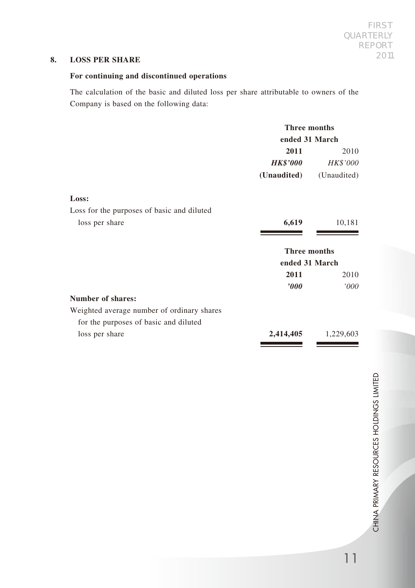### **8. LOSS PER SHARE**

## **For continuing and discontinued operations**

The calculation of the basic and diluted loss per share attributable to owners of the Company is based on the following data:

|                                            | <b>Three months</b>    |             |
|--------------------------------------------|------------------------|-------------|
|                                            | ended 31 March         |             |
|                                            | 2011                   | 2010        |
|                                            | <i><b>HK\$'000</b></i> | HK\$'000    |
|                                            | (Unaudited)            | (Unaudited) |
| Loss:                                      |                        |             |
| Loss for the purposes of basic and diluted |                        |             |
| loss per share                             | 6,619                  | 10,181      |
|                                            |                        |             |
|                                            | <b>Three months</b>    |             |
|                                            | ended 31 March         |             |
|                                            | 2011                   | 2010        |
|                                            | '000                   | '000        |
| Number of shares:                          |                        |             |
| Weighted average number of ordinary shares |                        |             |
| for the purposes of basic and diluted      |                        |             |
| loss per share                             | 2,414,405              | 1,229,603   |
|                                            |                        |             |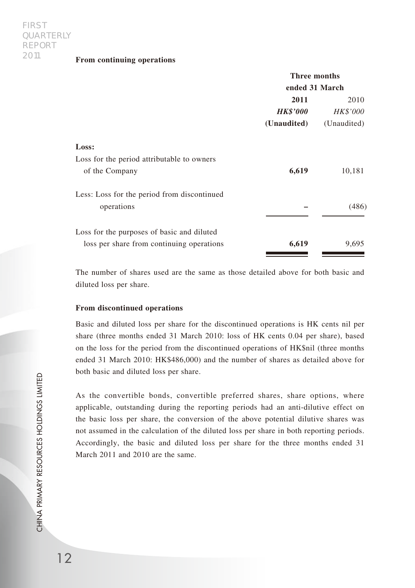#### **From continuing operations**

|                                             | Three months           |                 |
|---------------------------------------------|------------------------|-----------------|
|                                             | ended 31 March         |                 |
|                                             | 2011                   | 2010            |
|                                             | <i><b>HK\$'000</b></i> | <b>HK\$'000</b> |
|                                             | (Unaudited)            | (Unaudited)     |
| Loss:                                       |                        |                 |
| Loss for the period attributable to owners  |                        |                 |
| of the Company                              | 6,619                  | 10,181          |
| Less: Loss for the period from discontinued |                        |                 |
| operations                                  |                        | (486)           |
| Loss for the purposes of basic and diluted  |                        |                 |
| loss per share from continuing operations   | 6,619                  | 9,695           |

The number of shares used are the same as those detailed above for both basic and diluted loss per share.

#### **From discontinued operations**

Basic and diluted loss per share for the discontinued operations is HK cents nil per share (three months ended 31 March 2010: loss of HK cents 0.04 per share), based on the loss for the period from the discontinued operations of HK\$nil (three months ended 31 March 2010: HK\$486,000) and the number of shares as detailed above for both basic and diluted loss per share.

As the convertible bonds, convertible preferred shares, share options, where applicable, outstanding during the reporting periods had an anti-dilutive effect on the basic loss per share, the conversion of the above potential dilutive shares was not assumed in the calculation of the diluted loss per share in both reporting periods. Accordingly, the basic and diluted loss per share for the three months ended 31 March 2011 and 2010 are the same.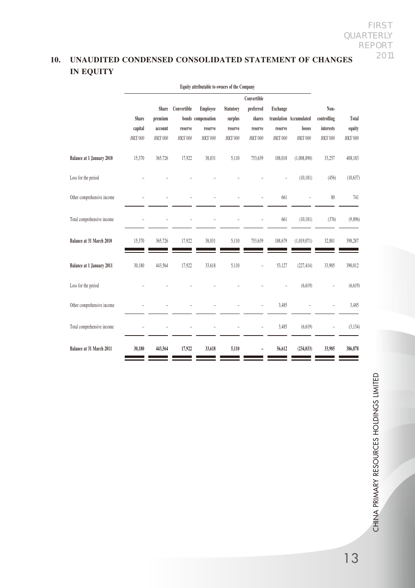## **10. UNAUDITED CONDENSED CONSOLIDATED STATEMENT OF CHANGES IN EQUITY**

|                            | Equity attributable to owners of the Company |          |             |                    |           |                |                 |                         |             |           |
|----------------------------|----------------------------------------------|----------|-------------|--------------------|-----------|----------------|-----------------|-------------------------|-------------|-----------|
|                            |                                              |          |             |                    |           | Convertible    |                 |                         |             |           |
|                            |                                              | Share    | Convertible | Employee           | Statutory | preferred      | Exchange        |                         | Non-        |           |
|                            | Share                                        | premium  |             | bonds compensation | surplus   | shares         |                 | translation Accumulated | controlling | Total     |
|                            | capital                                      | account  | reserve     | reserve            | reserve   | reserve        | reserve         | losses                  | interests   | equity    |
|                            | HK\$'000                                     | HK\$'000 | HK\$'000    | HK\$'000           | HK\$'000  | <b>HKS'000</b> | <b>HK\$'000</b> | HK\$'000                | HK\$'000    | HK\$'000  |
| Balance at 1 January 2010  | 15,370                                       | 365,726  | 17,922      | 38,031             | 5,110     | 753,639        | 188,018         | (1,008,890)             | 33,257      | 408,183   |
| Loss for the period        |                                              |          |             |                    |           |                |                 | (10.181)                | (456)       | (10, 637) |
| Other comprehensive income |                                              |          |             |                    |           |                | 661             |                         | 80          | 741       |
| Total comprehensive income |                                              |          |             |                    |           |                | 661             | (10.181)                | (376)       | (9,896)   |
| Balance at 31 March 2010   | 15,370                                       | 365,726  | 17,922      | 38,031             | 5,110     | 753,639        | 188,679         | (1,019,071)             | 32,881      | 398,287   |
| Balance at 1 January 2011  | 30,180                                       | 443.564  | 17,922      | 33,618             | 5.110     | ÷              | 53,127          | (227, 414)              | 33,905      | 390,012   |
| Loss for the period        |                                              |          |             |                    |           |                |                 | (6, 619)                |             | (6, 619)  |
| Other comprehensive income |                                              |          |             |                    |           | L.             | 3,485           |                         |             | 3,485     |
| Total comprehensive income |                                              |          |             |                    |           | $\overline{a}$ | 3,485           | (6, 619)                | -           | (3, 134)  |
| Balance at 31 March 2011   | 30,180                                       | 443,564  | 17,922      | 33,618             | 5,110     |                | 56,612          | (234, 033)              | 33,905      | 386,878   |

CHINA PRIMARY RESOURCES HOLDINGS LIMITED CHINA PRIMARY RESOURCES HOLDINGS LIMITED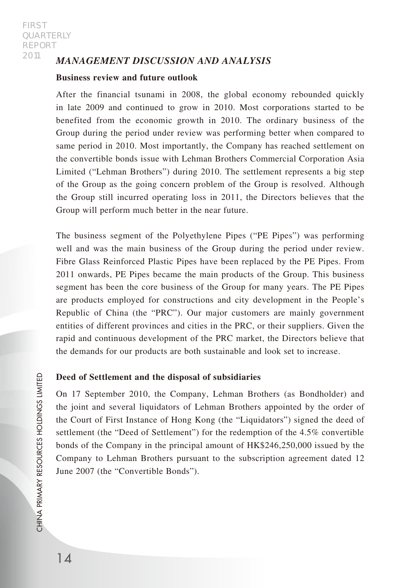## *MANAGEMENT DISCUSSION AND ANALYSIS*

## **Business review and future outlook**

After the financial tsunami in 2008, the global economy rebounded quickly in late 2009 and continued to grow in 2010. Most corporations started to be benefited from the economic growth in 2010. The ordinary business of the Group during the period under review was performing better when compared to same period in 2010. Most importantly, the Company has reached settlement on the convertible bonds issue with Lehman Brothers Commercial Corporation Asia Limited ("Lehman Brothers") during 2010. The settlement represents a big step of the Group as the going concern problem of the Group is resolved. Although the Group still incurred operating loss in 2011, the Directors believes that the Group will perform much better in the near future.

The business segment of the Polyethylene Pipes ("PE Pipes") was performing well and was the main business of the Group during the period under review. Fibre Glass Reinforced Plastic Pipes have been replaced by the PE Pipes. From 2011 onwards, PE Pipes became the main products of the Group. This business segment has been the core business of the Group for many years. The PE Pipes are products employed for constructions and city development in the People's Republic of China (the "PRC"). Our major customers are mainly government entities of different provinces and cities in the PRC, or their suppliers. Given the rapid and continuous development of the PRC market, the Directors believe that the demands for our products are both sustainable and look set to increase.

### **Deed of Settlement and the disposal of subsidiaries**

On 17 September 2010, the Company, Lehman Brothers (as Bondholder) and the joint and several liquidators of Lehman Brothers appointed by the order of the Court of First Instance of Hong Kong (the "Liquidators") signed the deed of settlement (the "Deed of Settlement") for the redemption of the 4.5% convertible bonds of the Company in the principal amount of HK\$246,250,000 issued by the Company to Lehman Brothers pursuant to the subscription agreement dated 12 June 2007 (the "Convertible Bonds").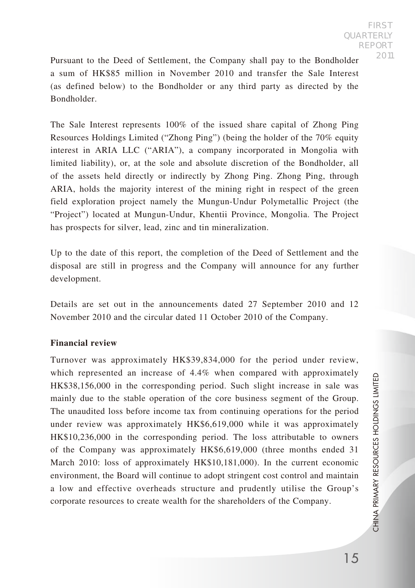Pursuant to the Deed of Settlement, the Company shall pay to the Bondholder a sum of HK\$85 million in November 2010 and transfer the Sale Interest (as defined below) to the Bondholder or any third party as directed by the Bondholder.

The Sale Interest represents 100% of the issued share capital of Zhong Ping Resources Holdings Limited ("Zhong Ping") (being the holder of the 70% equity interest in ARIA LLC ("ARIA"), a company incorporated in Mongolia with limited liability), or, at the sole and absolute discretion of the Bondholder, all of the assets held directly or indirectly by Zhong Ping. Zhong Ping, through ARIA, holds the majority interest of the mining right in respect of the green field exploration project namely the Mungun-Undur Polymetallic Project (the "Project") located at Mungun-Undur, Khentii Province, Mongolia. The Project has prospects for silver, lead, zinc and tin mineralization.

Up to the date of this report, the completion of the Deed of Settlement and the disposal are still in progress and the Company will announce for any further development.

Details are set out in the announcements dated 27 September 2010 and 12 November 2010 and the circular dated 11 October 2010 of the Company.

### **Financial review**

Turnover was approximately HK\$39,834,000 for the period under review, which represented an increase of 4.4% when compared with approximately HK\$38,156,000 in the corresponding period. Such slight increase in sale was mainly due to the stable operation of the core business segment of the Group. The unaudited loss before income tax from continuing operations for the period under review was approximately HK\$6,619,000 while it was approximately HK\$10,236,000 in the corresponding period. The loss attributable to owners of the Company was approximately HK\$6,619,000 (three months ended 31 March 2010: loss of approximately HK\$10,181,000). In the current economic environment, the Board will continue to adopt stringent cost control and maintain a low and effective overheads structure and prudently utilise the Group's corporate resources to create wealth for the shareholders of the Company.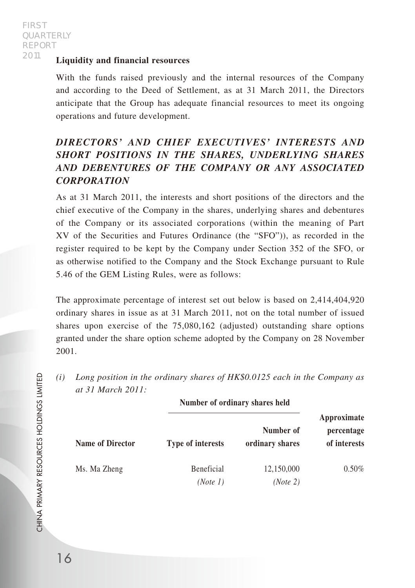### **Liquidity and financial resources**

With the funds raised previously and the internal resources of the Company and according to the Deed of Settlement, as at 31 March 2011, the Directors anticipate that the Group has adequate financial resources to meet its ongoing operations and future development.

# *DIRECTORS' AND CHIEF EXECUTIVES' INTERESTS AND SHORT POSITIONS IN THE SHARES, UNDERLYING SHARES AND DEBENTURES OF THE COMPANY OR ANY ASSOCIATED CORPORATION*

As at 31 March 2011, the interests and short positions of the directors and the chief executive of the Company in the shares, underlying shares and debentures of the Company or its associated corporations (within the meaning of Part XV of the Securities and Futures Ordinance (the "SFO")), as recorded in the register required to be kept by the Company under Section 352 of the SFO, or as otherwise notified to the Company and the Stock Exchange pursuant to Rule 5.46 of the GEM Listing Rules, were as follows:

The approximate percentage of interest set out below is based on 2,414,404,920 ordinary shares in issue as at 31 March 2011, not on the total number of issued shares upon exercise of the 75,080,162 (adjusted) outstanding share options granted under the share option scheme adopted by the Company on 28 November 2001.

*(i) Long position in the ordinary shares of HK\$0.0125 each in the Company as at 31 March 2011:*

|                         | Number of ordinary shares held |                              |                                           |
|-------------------------|--------------------------------|------------------------------|-------------------------------------------|
| <b>Name of Director</b> | Type of interests              | Number of<br>ordinary shares | Approximate<br>percentage<br>of interests |
| Ms. Ma Zheng            | Beneficial<br>(Note 1)         | 12,150,000<br>(Note 2)       | $0.50\%$                                  |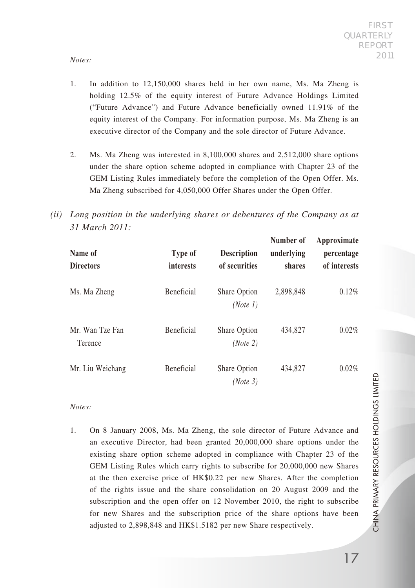### *Notes:*

- 1. In addition to 12,150,000 shares held in her own name, Ms. Ma Zheng is holding 12.5% of the equity interest of Future Advance Holdings Limited ("Future Advance") and Future Advance beneficially owned 11.91% of the equity interest of the Company. For information purpose, Ms. Ma Zheng is an executive director of the Company and the sole director of Future Advance.
- 2. Ms. Ma Zheng was interested in 8,100,000 shares and 2,512,000 share options under the share option scheme adopted in compliance with Chapter 23 of the GEM Listing Rules immediately before the completion of the Open Offer. Ms. Ma Zheng subscribed for 4,050,000 Offer Shares under the Open Offer.
- *(ii) Long position in the underlying shares or debentures of the Company as at 31 March 2011:*

| Name of<br><b>Directors</b> | Type of<br>interests | <b>Description</b><br>of securities | Number of<br>underlying<br>shares | Approximate<br>percentage<br>of interests |
|-----------------------------|----------------------|-------------------------------------|-----------------------------------|-------------------------------------------|
| Ms. Ma Zheng                | <b>Beneficial</b>    | Share Option<br>(Note 1)            | 2,898,848                         | 0.12%                                     |
| Mr. Wan Tze Fan<br>Terence  | <b>Beneficial</b>    | Share Option<br>(Note 2)            | 434,827                           | 0.02%                                     |
| Mr. Liu Weichang            | <b>Beneficial</b>    | Share Option<br>(Note 3)            | 434,827                           | 0.02%                                     |

### *Notes:*

1. On 8 January 2008, Ms. Ma Zheng, the sole director of Future Advance and an executive Director, had been granted 20,000,000 share options under the existing share option scheme adopted in compliance with Chapter 23 of the GEM Listing Rules which carry rights to subscribe for 20,000,000 new Shares at the then exercise price of HK\$0.22 per new Shares. After the completion of the rights issue and the share consolidation on 20 August 2009 and the subscription and the open offer on 12 November 2010, the right to subscribe for new Shares and the subscription price of the share options have been adjusted to 2,898,848 and HK\$1.5182 per new Share respectively.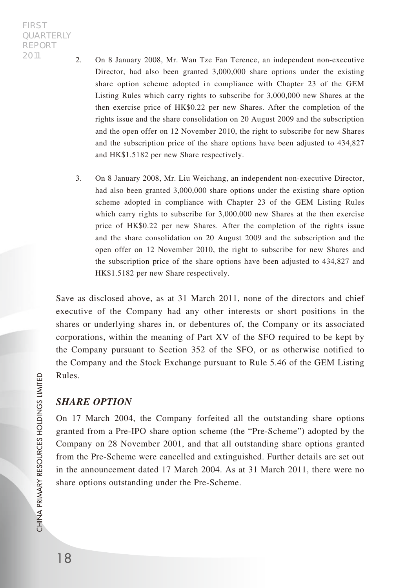- 2. On 8 January 2008, Mr. Wan Tze Fan Terence, an independent non-executive Director, had also been granted 3,000,000 share options under the existing share option scheme adopted in compliance with Chapter 23 of the GEM Listing Rules which carry rights to subscribe for 3,000,000 new Shares at the then exercise price of HK\$0.22 per new Shares. After the completion of the rights issue and the share consolidation on 20 August 2009 and the subscription and the open offer on 12 November 2010, the right to subscribe for new Shares and the subscription price of the share options have been adjusted to 434,827 and HK\$1.5182 per new Share respectively.
- 3. On 8 January 2008, Mr. Liu Weichang, an independent non-executive Director, had also been granted 3,000,000 share options under the existing share option scheme adopted in compliance with Chapter 23 of the GEM Listing Rules which carry rights to subscribe for 3,000,000 new Shares at the then exercise price of HK\$0.22 per new Shares. After the completion of the rights issue and the share consolidation on 20 August 2009 and the subscription and the open offer on 12 November 2010, the right to subscribe for new Shares and the subscription price of the share options have been adjusted to 434,827 and HK\$1.5182 per new Share respectively.

Save as disclosed above, as at 31 March 2011, none of the directors and chief executive of the Company had any other interests or short positions in the shares or underlying shares in, or debentures of, the Company or its associated corporations, within the meaning of Part XV of the SFO required to be kept by the Company pursuant to Section 352 of the SFO, or as otherwise notified to the Company and the Stock Exchange pursuant to Rule 5.46 of the GEM Listing Rules.

# *SHARE OPTION*

On 17 March 2004, the Company forfeited all the outstanding share options granted from a Pre-IPO share option scheme (the "Pre-Scheme") adopted by the Company on 28 November 2001, and that all outstanding share options granted from the Pre-Scheme were cancelled and extinguished. Further details are set out in the announcement dated 17 March 2004. As at 31 March 2011, there were no share options outstanding under the Pre-Scheme.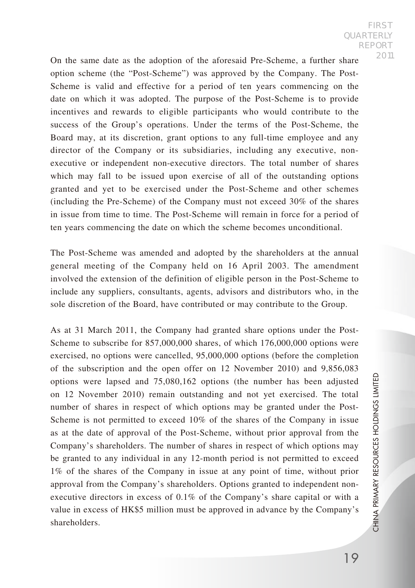On the same date as the adoption of the aforesaid Pre-Scheme, a further share option scheme (the "Post-Scheme") was approved by the Company. The Post-Scheme is valid and effective for a period of ten years commencing on the date on which it was adopted. The purpose of the Post-Scheme is to provide incentives and rewards to eligible participants who would contribute to the success of the Group's operations. Under the terms of the Post-Scheme, the Board may, at its discretion, grant options to any full-time employee and any director of the Company or its subsidiaries, including any executive, nonexecutive or independent non-executive directors. The total number of shares which may fall to be issued upon exercise of all of the outstanding options granted and yet to be exercised under the Post-Scheme and other schemes (including the Pre-Scheme) of the Company must not exceed 30% of the shares in issue from time to time. The Post-Scheme will remain in force for a period of ten years commencing the date on which the scheme becomes unconditional.

The Post-Scheme was amended and adopted by the shareholders at the annual general meeting of the Company held on 16 April 2003. The amendment involved the extension of the definition of eligible person in the Post-Scheme to include any suppliers, consultants, agents, advisors and distributors who, in the sole discretion of the Board, have contributed or may contribute to the Group.

As at 31 March 2011, the Company had granted share options under the Post-Scheme to subscribe for 857,000,000 shares, of which 176,000,000 options were exercised, no options were cancelled, 95,000,000 options (before the completion of the subscription and the open offer on 12 November 2010) and 9,856,083 options were lapsed and 75,080,162 options (the number has been adjusted on 12 November 2010) remain outstanding and not yet exercised. The total number of shares in respect of which options may be granted under the Post-Scheme is not permitted to exceed 10% of the shares of the Company in issue as at the date of approval of the Post-Scheme, without prior approval from the Company's shareholders. The number of shares in respect of which options may be granted to any individual in any 12-month period is not permitted to exceed 1% of the shares of the Company in issue at any point of time, without prior approval from the Company's shareholders. Options granted to independent nonexecutive directors in excess of 0.1% of the Company's share capital or with a value in excess of HK\$5 million must be approved in advance by the Company's shareholders.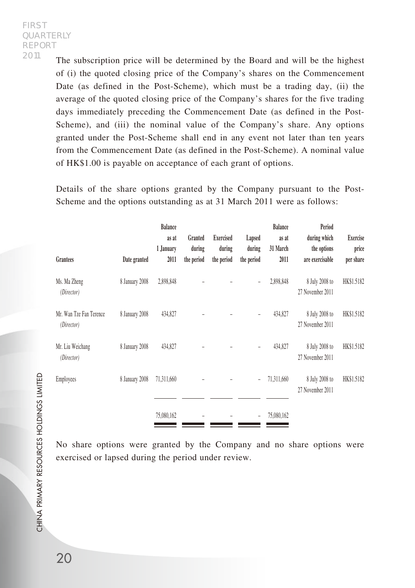The subscription price will be determined by the Board and will be the highest of (i) the quoted closing price of the Company's shares on the Commencement Date (as defined in the Post-Scheme), which must be a trading day, (ii) the average of the quoted closing price of the Company's shares for the five trading days immediately preceding the Commencement Date (as defined in the Post-Scheme), and (iii) the nominal value of the Company's share. Any options granted under the Post-Scheme shall end in any event not later than ten years from the Commencement Date (as defined in the Post-Scheme). A nominal value of HK\$1.00 is payable on acceptance of each grant of options.

Details of the share options granted by the Company pursuant to the Post-Scheme and the options outstanding as at 31 March 2011 were as follows:

| Grantees                              | Date granted   | <b>Balance</b><br>as at<br>1 January<br>2011 | Granted<br>during<br>the period | Exercised<br>during<br>the period | Lapsed<br>during<br>the period | <b>Balance</b><br>as at<br>31 March<br>2011 | Period<br>during which<br>the options<br>are exercisable | <b>Exercise</b><br>price<br>per share |
|---------------------------------------|----------------|----------------------------------------------|---------------------------------|-----------------------------------|--------------------------------|---------------------------------------------|----------------------------------------------------------|---------------------------------------|
| Ms. Ma Zheng<br>(Director)            | 8 January 2008 | 2,898,848                                    |                                 |                                   |                                | 2,898,848                                   | 8 July 2008 to<br>27 November 2011                       | HK\$1.5182                            |
| Mr. Wan Tze Fan Terence<br>(Director) | 8 January 2008 | 434,827                                      |                                 |                                   | $\overline{a}$                 | 434,827                                     | 8 July 2008 to<br>27 November 2011                       | HK\$1.5182                            |
| Mr. Liu Weichang<br>(Director)        | 8 January 2008 | 434,827                                      |                                 |                                   | $\overline{a}$                 | 434,827                                     | 8 July 2008 to<br>27 November 2011                       | HK\$1.5182                            |
| Employees                             | 8 January 2008 | 71,311,660                                   |                                 |                                   |                                | 71,311,660                                  | 8 July 2008 to<br>27 November 2011                       | HK\$1.5182                            |
|                                       |                | 75,080,162                                   |                                 |                                   |                                | 75,080,162                                  |                                                          |                                       |

No share options were granted by the Company and no share options were exercised or lapsed during the period under review.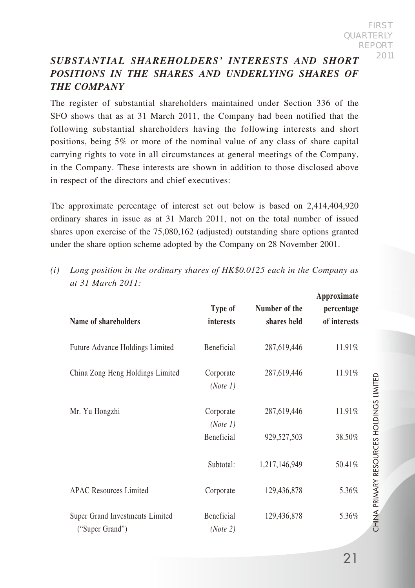# *SUBSTANTIAL SHAREHOLDERS' INTERESTS AND SHORT POSITIONS IN THE SHARES AND UNDERLYING SHARES OF THE COMPANY*

The register of substantial shareholders maintained under Section 336 of the SFO shows that as at 31 March 2011, the Company had been notified that the following substantial shareholders having the following interests and short positions, being 5% or more of the nominal value of any class of share capital carrying rights to vote in all circumstances at general meetings of the Company, in the Company. These interests are shown in addition to those disclosed above in respect of the directors and chief executives:

The approximate percentage of interest set out below is based on 2,414,404,920 ordinary shares in issue as at 31 March 2011, not on the total number of issued shares upon exercise of the 75,080,162 (adjusted) outstanding share options granted under the share option scheme adopted by the Company on 28 November 2001.

| Name of shareholders                               | Type of<br><i>interests</i> | Number of the<br>shares held | Approximate<br>percentage<br>of interests |
|----------------------------------------------------|-----------------------------|------------------------------|-------------------------------------------|
| Future Advance Holdings Limited                    | Beneficial                  | 287,619,446                  | 11.91%                                    |
| China Zong Heng Holdings Limited                   | Corporate<br>(Note 1)       | 287,619,446                  | 11.91%                                    |
| Mr. Yu Hongzhi                                     | Corporate<br>(Note 1)       | 287,619,446                  | 11.91%                                    |
|                                                    | <b>Beneficial</b>           | 929,527,503                  | 38.50%                                    |
|                                                    | Subtotal:                   | 1,217,146,949                | 50.41%                                    |
| <b>APAC Resources Limited</b>                      | Corporate                   | 129,436,878                  | 5.36%                                     |
| Super Grand Investments Limited<br>("Super Grand") | Beneficial<br>(Note 2)      | 129,436,878                  | 5.36%                                     |

*(i) Long position in the ordinary shares of HK\$0.0125 each in the Company as at 31 March 2011:*

CHINA PRIMARY RESOURCES HOLDINGS LIMITED

CHINA PRIMARY RESOURCES HOLDINGS LIMITED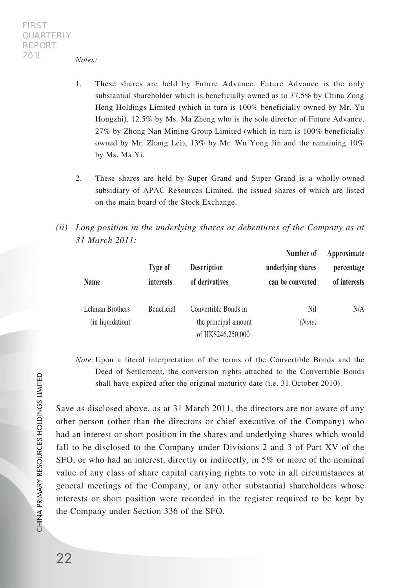*Notes:*

- 1. These shares are held by Future Advance. Future Advance is the only substantial shareholder which is beneficially owned as to 37.5% by China Zong Heng Holdings Limited (which in turn is 100% beneficially owned by Mr. Yu Hongzhi), 12.5% by Ms. Ma Zheng who is the sole director of Future Advance, 27% by Zhong Nan Mining Group Limited (which in turn is 100% beneficially owned by Mr. Zhang Lei), 13% by Mr. Wu Yong Jin and the remaining 10% by Ms. Ma Yi.
- 2. These shares are held by Super Grand and Super Grand is a wholly-owned subsidiary of APAC Resources Limited, the issued shares of which are listed on the main board of the Stock Exchange.
- *(ii) Long position in the underlying shares or debentures of the Company as at 31 March 2011:*

| Name                                | Type of<br>interests | <b>Description</b><br>of derivatives                               | Number of<br>underlying shares<br>can be converted | Approximate<br>percentage<br>of interests |
|-------------------------------------|----------------------|--------------------------------------------------------------------|----------------------------------------------------|-------------------------------------------|
| Lehman Brothers<br>(in liquidation) | <b>Beneficial</b>    | Convertible Bonds in<br>the principal amount<br>of HK\$246,250,000 | Nil<br>(Note)                                      | N/A                                       |

*Note:* Upon a literal interpretation of the terms of the Convertible Bonds and the Deed of Settlement, the conversion rights attached to the Convertible Bonds shall have expired after the original maturity date (i.e. 31 October 2010).

Save as disclosed above, as at 31 March 2011, the directors are not aware of any other person (other than the directors or chief executive of the Company) who had an interest or short position in the shares and underlying shares which would fall to be disclosed to the Company under Divisions 2 and 3 of Part XV of the SFO, or who had an interest, directly or indirectly, in 5% or more of the nominal value of any class of share capital carrying rights to vote in all circumstances at general meetings of the Company, or any other substantial shareholders whose interests or short position were recorded in the register required to be kept by the Company under Section 336 of the SFO.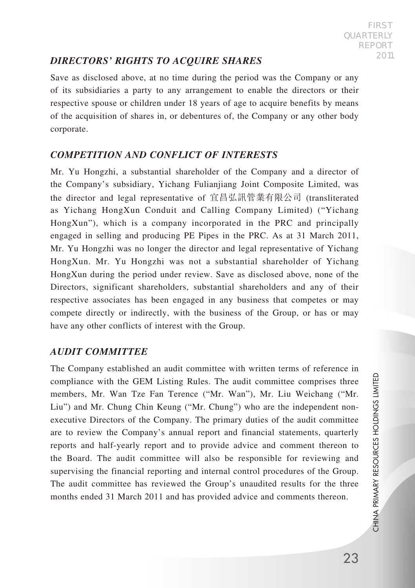# *DIRECTORS' RIGHTS TO ACQUIRE SHARES*

Save as disclosed above, at no time during the period was the Company or any of its subsidiaries a party to any arrangement to enable the directors or their respective spouse or children under 18 years of age to acquire benefits by means of the acquisition of shares in, or debentures of, the Company or any other body corporate.

## *COMPETITION AND CONFLICT OF INTERESTS*

Mr. Yu Hongzhi, a substantial shareholder of the Company and a director of the Company's subsidiary, Yichang Fulianjiang Joint Composite Limited, was the director and legal representative of 宜昌弘訊管業有限公司 (transliterated as Yichang HongXun Conduit and Calling Company Limited) ("Yichang HongXun"), which is a company incorporated in the PRC and principally engaged in selling and producing PE Pipes in the PRC. As at 31 March 2011, Mr. Yu Hongzhi was no longer the director and legal representative of Yichang HongXun. Mr. Yu Hongzhi was not a substantial shareholder of Yichang HongXun during the period under review. Save as disclosed above, none of the Directors, significant shareholders, substantial shareholders and any of their respective associates has been engaged in any business that competes or may compete directly or indirectly, with the business of the Group, or has or may have any other conflicts of interest with the Group.

## *AUDIT COMMITTEE*

The Company established an audit committee with written terms of reference in compliance with the GEM Listing Rules. The audit committee comprises three members, Mr. Wan Tze Fan Terence ("Mr. Wan"), Mr. Liu Weichang ("Mr. Liu") and Mr. Chung Chin Keung ("Mr. Chung") who are the independent nonexecutive Directors of the Company. The primary duties of the audit committee are to review the Company's annual report and financial statements, quarterly reports and half-yearly report and to provide advice and comment thereon to the Board. The audit committee will also be responsible for reviewing and supervising the financial reporting and internal control procedures of the Group. The audit committee has reviewed the Group's unaudited results for the three months ended 31 March 2011 and has provided advice and comments thereon.